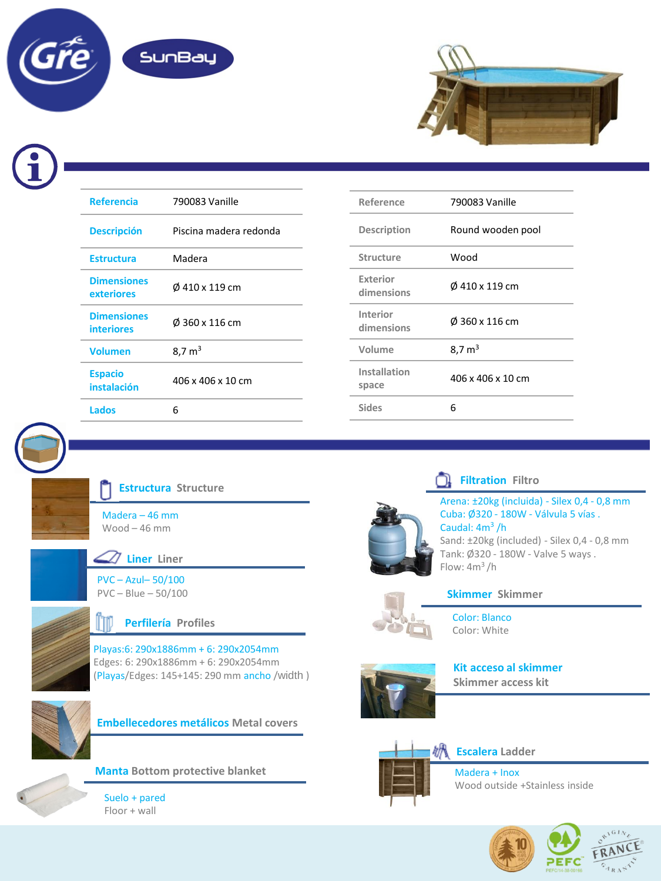



| <b>Referencia</b>                       | 790083 Vanille         |  |  |
|-----------------------------------------|------------------------|--|--|
| <b>Descripción</b>                      | Piscina madera redonda |  |  |
| <b>Estructura</b>                       | Madera                 |  |  |
| <b>Dimensiones</b><br>exteriores        | Ø 410 x 119 cm         |  |  |
| <b>Dimensiones</b><br><b>interiores</b> | Ø 360 x 116 cm         |  |  |
| <b>Volumen</b>                          | $8.7 \text{ m}^3$      |  |  |
| <b>Espacio</b><br>instalación           | 406 x 406 x 10 cm      |  |  |
| Lados                                   | 6                      |  |  |

| Reference                     | 790083 Vanille    |  |
|-------------------------------|-------------------|--|
| Description                   | Round wooden pool |  |
| <b>Structure</b>              | Wood              |  |
| <b>Exterior</b><br>dimensions | Ø 410 x 119 cm    |  |
| Interior<br>dimensions        | Ø 360 x 116 cm    |  |
| Volume                        | $8.7 \text{ m}^3$ |  |
| Installation<br>space         | 406 x 406 x 10 cm |  |
| <b>Sides</b>                  | հ                 |  |

**Estructura Structure**

Madera – 46 mm Wood – 46 mm

**Liner Liner**

PVC – Azul– 50/100 PVC – Blue – 50/100



### **Perfilería Profiles**

Playas:6: 290x1886mm + 6: 290x2054mm Edges: 6: 290x1886mm + 6: 290x2054mm (Playas/Edges: 145+145: 290 mm ancho /width )







**Manta Bottom protective blanket**

Suelo + pared Floor + wall



Arena: ±20kg (incluida) - Silex 0,4 - 0,8 mm Cuba: Ø320 - 180W - Válvula 5 vías . **Filtration Filtro**

Caudal: 4m<sup>3</sup>/h Sand: ±20kg (included) - Silex 0,4 - 0,8 mm Tank: Ø320 - 180W - Valve 5 ways . Flow:  $4m^3/h$ 



# **Skimmer Skimmer** Color: Blanco

Color: White



**Kit acceso al skimmer Skimmer access kit**



**Escalera Ladder**

Madera + Inox Wood outside +Stainless inside